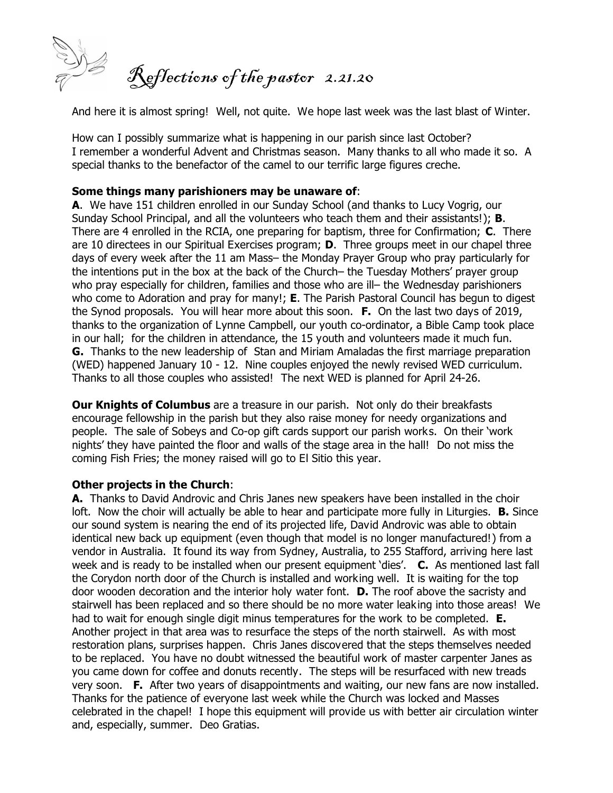

And here it is almost spring! Well, not quite. We hope last week was the last blast of Winter.

How can I possibly summarize what is happening in our parish since last October? I remember a wonderful Advent and Christmas season. Many thanks to all who made it so. A special thanks to the benefactor of the camel to our terrific large figures creche.

## **Some things many parishioners may be unaware of**:

**A**. We have 151 children enrolled in our Sunday School (and thanks to Lucy Vogrig, our Sunday School Principal, and all the volunteers who teach them and their assistants!); **B**. There are 4 enrolled in the RCIA, one preparing for baptism, three for Confirmation; **C**. There are 10 directees in our Spiritual Exercises program; **D**. Three groups meet in our chapel three days of every week after the 11 am Mass– the *Monday* Prayer Group who pray particularly for the intentions put in the box at the back of the Church– the *Tuesday* Mothers' prayer group who pray especially for children, families and those who are ill– the *Wednesday* parishioners who come to Adoration and pray for many!; **E**. The Parish Pastoral Council has begun to digest the Synod proposals. You will hear more about this soon. **F.** On the last two days of 2019, thanks to the organization of Lynne Campbell, our youth co-ordinator, a Bible Camp took place in our hall; for the children in attendance, the 15 youth and volunteers made it much fun. **G.** Thanks to the new leadership of Stan and Miriam Amaladas the first marriage preparation (WED) happened January 10 - 12. Nine couples enjoyed the newly revised WED curriculum. Thanks to all those couples who assisted! The next WED is planned for April 24-26.

**Our Knights of Columbus** are a treasure in our parish. Not only do their breakfasts encourage fellowship in the parish but they also raise money for needy organizations and people. The sale of Sobeys and Co-op gift cards support our parish works. On their 'work nights' they have painted the floor and walls of the stage area in the hall! Do not miss the coming Fish Fries; the money raised will go to El Sitio this year.

## **Other projects in the Church**:

**A.** Thanks to David Androvic and Chris Janes new speakers have been installed in the choir loft. Now the choir will actually be able to hear and participate more fully in Liturgies. **B.** Since our sound system is nearing the end of its projected life, David Androvic was able to obtain identical new back up equipment (even though that model is no longer manufactured!) from a vendor in Australia. It found its way from Sydney, Australia, to 255 Stafford, arriving here last week and is ready to be installed when our present equipment 'dies'. **C.** As mentioned last fall the Corydon north door of the Church is installed and working well. It is waiting for the top door wooden decoration and the interior holy water font. **D.** The roof above the sacristy and stairwell has been replaced and so there should be no more water leaking into those areas! We had to wait for enough single digit minus temperatures for the work to be completed. **E.** Another project in that area was to resurface the steps of the north stairwell. As with most restoration plans, surprises happen. Chris Janes discovered that the steps themselves needed to be replaced. You have no doubt witnessed the beautiful work of master carpenter Janes as you came down for coffee and donuts recently. The steps will be resurfaced with new treads very soon. **F.** After two years of disappointments and waiting, our new fans are now installed. Thanks for the patience of everyone last week while the Church was locked and Masses celebrated in the chapel! I hope this equipment will provide us with better air circulation winter and, especially, summer. *Deo Gratias*.